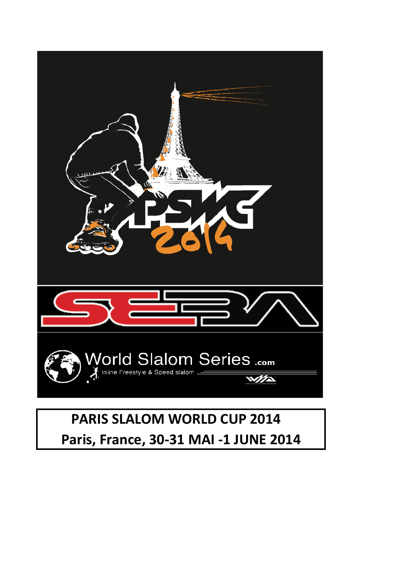

## **PARIS SLALOM WORLD CUP 2014** Paris, France, 30-31 MAI -1 JUNE 2014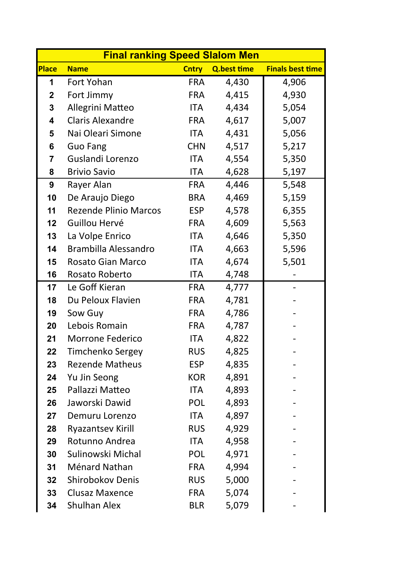| <b>Final ranking Speed Slalom Men</b> |                              |              |                    |                         |  |
|---------------------------------------|------------------------------|--------------|--------------------|-------------------------|--|
| Place                                 | <b>Name</b>                  | <b>Cntry</b> | <b>Q.best time</b> | <b>Finals best time</b> |  |
| 1                                     | <b>Fort Yohan</b>            | <b>FRA</b>   | 4,430              | 4,906                   |  |
| $\boldsymbol{2}$                      | Fort Jimmy                   | <b>FRA</b>   | 4,415              | 4,930                   |  |
| $\mathbf 3$                           | Allegrini Matteo             | <b>ITA</b>   | 4,434              | 5,054                   |  |
| $\overline{\mathbf{4}}$               | <b>Claris Alexandre</b>      | <b>FRA</b>   | 4,617              | 5,007                   |  |
| 5                                     | Nai Oleari Simone            | <b>ITA</b>   | 4,431              | 5,056                   |  |
| 6                                     | <b>Guo Fang</b>              | <b>CHN</b>   | 4,517              | 5,217                   |  |
| 7                                     | Guslandi Lorenzo             | <b>ITA</b>   | 4,554              | 5,350                   |  |
| 8                                     | <b>Brivio Savio</b>          | <b>ITA</b>   | 4,628              | 5,197                   |  |
| 9                                     | Rayer Alan                   | <b>FRA</b>   | 4,446              | 5,548                   |  |
| 10                                    | De Araujo Diego              | <b>BRA</b>   | 4,469              | 5,159                   |  |
| 11                                    | <b>Rezende Plinio Marcos</b> | <b>ESP</b>   | 4,578              | 6,355                   |  |
| 12                                    | Guillou Hervé                | <b>FRA</b>   | 4,609              | 5,563                   |  |
| 13                                    | La Volpe Enrico              | ITA          | 4,646              | 5,350                   |  |
| 14                                    | Brambilla Alessandro         | <b>ITA</b>   | 4,663              | 5,596                   |  |
| 15                                    | <b>Rosato Gian Marco</b>     | <b>ITA</b>   | 4,674              | 5,501                   |  |
| 16                                    | Rosato Roberto               | <b>ITA</b>   | 4,748              |                         |  |
| 17                                    | Le Goff Kieran               | <b>FRA</b>   | 4,777              |                         |  |
| 18                                    | Du Peloux Flavien            | <b>FRA</b>   | 4,781              |                         |  |
| 19                                    | Sow Guy                      | <b>FRA</b>   | 4,786              |                         |  |
| 20                                    | Lebois Romain                | <b>FRA</b>   | 4,787              |                         |  |
| 21                                    | <b>Morrone Federico</b>      | <b>ITA</b>   | 4,822              |                         |  |
| 22                                    | Timchenko Sergey             | <b>RUS</b>   | 4,825              |                         |  |
| 23                                    | <b>Rezende Matheus</b>       | <b>ESP</b>   | 4,835              |                         |  |
| 24                                    | Yu Jin Seong                 | KOR          | 4,891              |                         |  |
| 25                                    | Pallazzi Matteo              | ITA          | 4,893              |                         |  |
| 26                                    | Jaworski Dawid               | <b>POL</b>   | 4,893              |                         |  |
| 27                                    | Demuru Lorenzo               | ITA          | 4,897              |                         |  |
| 28                                    | <b>Ryazantsev Kirill</b>     | <b>RUS</b>   | 4,929              |                         |  |
| 29                                    | Rotunno Andrea               | <b>ITA</b>   | 4,958              |                         |  |
| 30                                    | Sulinowski Michal            | <b>POL</b>   | 4,971              |                         |  |
| 31                                    | Ménard Nathan                | <b>FRA</b>   | 4,994              |                         |  |
| 32                                    | <b>Shirobokov Denis</b>      | <b>RUS</b>   | 5,000              |                         |  |
| 33                                    | <b>Clusaz Maxence</b>        | <b>FRA</b>   | 5,074              |                         |  |
| 34                                    | Shulhan Alex                 | <b>BLR</b>   | 5,079              |                         |  |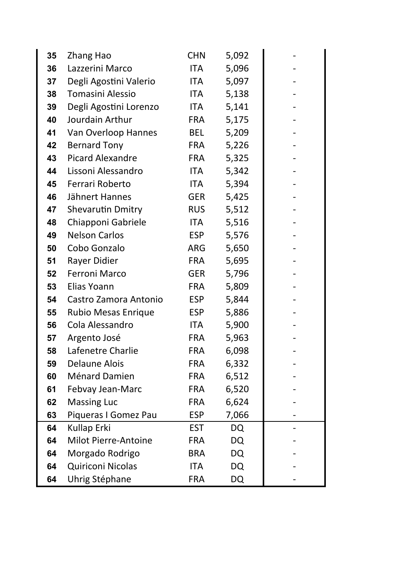| 35 | Zhang Hao                   | <b>CHN</b> | 5,092     |  |
|----|-----------------------------|------------|-----------|--|
| 36 | Lazzerini Marco             | <b>ITA</b> | 5,096     |  |
| 37 | Degli Agostini Valerio      | <b>ITA</b> | 5,097     |  |
| 38 | Tomasini Alessio            | ITA        | 5,138     |  |
| 39 | Degli Agostini Lorenzo      | ITA        | 5,141     |  |
| 40 | Jourdain Arthur             | <b>FRA</b> | 5,175     |  |
| 41 | Van Overloop Hannes         | <b>BEL</b> | 5,209     |  |
| 42 | <b>Bernard Tony</b>         | <b>FRA</b> | 5,226     |  |
| 43 | <b>Picard Alexandre</b>     | <b>FRA</b> | 5,325     |  |
| 44 | Lissoni Alessandro          | <b>ITA</b> | 5,342     |  |
| 45 | Ferrari Roberto             | ITA        | 5,394     |  |
| 46 | Jähnert Hannes              | GER        | 5,425     |  |
| 47 | Shevarutin Dmitry           | <b>RUS</b> | 5,512     |  |
| 48 | Chiapponi Gabriele          | <b>ITA</b> | 5,516     |  |
| 49 | <b>Nelson Carlos</b>        | ESP        | 5,576     |  |
| 50 | Cobo Gonzalo                | ARG        | 5,650     |  |
| 51 | Rayer Didier                | <b>FRA</b> | 5,695     |  |
| 52 | Ferroni Marco               | <b>GER</b> | 5,796     |  |
| 53 | Elias Yoann                 | <b>FRA</b> | 5,809     |  |
| 54 | Castro Zamora Antonio       | ESP        | 5,844     |  |
| 55 | <b>Rubio Mesas Enrique</b>  | ESP        | 5,886     |  |
| 56 | Cola Alessandro             | ITA        | 5,900     |  |
| 57 | Argento José                | <b>FRA</b> | 5,963     |  |
| 58 | Lafenetre Charlie           | <b>FRA</b> | 6,098     |  |
| 59 | <b>Delaune Alois</b>        | <b>FRA</b> | 6,332     |  |
| 60 | Ménard Damien               | <b>FRA</b> | 6,512     |  |
| 61 | Febvay Jean-Marc            | <b>FRA</b> | 6,520     |  |
| 62 | <b>Massing Luc</b>          | <b>FRA</b> | 6,624     |  |
| 63 | Piqueras I Gomez Pau        | <b>ESP</b> | 7,066     |  |
| 64 | Kullap Erki                 | <b>EST</b> | <b>DQ</b> |  |
| 64 | <b>Milot Pierre-Antoine</b> | <b>FRA</b> | <b>DQ</b> |  |
| 64 | Morgado Rodrigo             | BRA        | <b>DQ</b> |  |
| 64 | <b>Quiriconi Nicolas</b>    | <b>ITA</b> | <b>DQ</b> |  |
| 64 | Uhrig Stéphane              | <b>FRA</b> | <b>DQ</b> |  |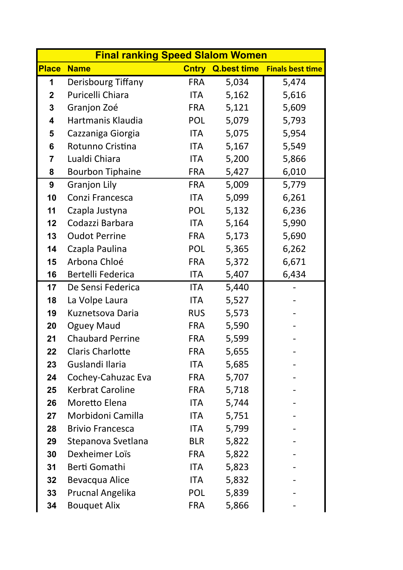| <b>Place</b><br><b>Name</b><br><b>Cntry Q.best time Finals best time</b><br>Derisbourg Tiffany<br>5,034<br><b>FRA</b><br>5,474<br>1<br>Puricelli Chiara<br>5,162<br>5,616<br><b>ITA</b><br>$\boldsymbol{2}$<br>$\mathbf{3}$<br>Granjon Zoé<br>5,121<br>5,609<br><b>FRA</b><br>Hartmanis Klaudia<br>POL<br>5,079<br>5,793<br>$\overline{\mathbf{4}}$<br>5,075<br>5,954<br>Cazzaniga Giorgia<br><b>ITA</b><br>5<br>Rotunno Cristina<br>5,167<br>5,549<br>$6\phantom{1}$<br><b>ITA</b><br>Lualdi Chiara<br>5,200<br>5,866<br>ITA<br>$\overline{7}$<br>6,010<br><b>Bourbon Tiphaine</b><br>5,427<br>8<br><b>FRA</b><br><b>Granjon Lily</b><br>5,009<br>5,779<br>9<br><b>FRA</b><br>6,261<br>Conzi Francesca<br><b>ITA</b><br>5,099<br>10<br>6,236<br>Czapla Justyna<br>POL<br>5,132<br>11 | <b>Final ranking Speed Slalom Women</b> |  |  |  |  |  |  |
|---------------------------------------------------------------------------------------------------------------------------------------------------------------------------------------------------------------------------------------------------------------------------------------------------------------------------------------------------------------------------------------------------------------------------------------------------------------------------------------------------------------------------------------------------------------------------------------------------------------------------------------------------------------------------------------------------------------------------------------------------------------------------------------|-----------------------------------------|--|--|--|--|--|--|
|                                                                                                                                                                                                                                                                                                                                                                                                                                                                                                                                                                                                                                                                                                                                                                                       |                                         |  |  |  |  |  |  |
|                                                                                                                                                                                                                                                                                                                                                                                                                                                                                                                                                                                                                                                                                                                                                                                       |                                         |  |  |  |  |  |  |
|                                                                                                                                                                                                                                                                                                                                                                                                                                                                                                                                                                                                                                                                                                                                                                                       |                                         |  |  |  |  |  |  |
|                                                                                                                                                                                                                                                                                                                                                                                                                                                                                                                                                                                                                                                                                                                                                                                       |                                         |  |  |  |  |  |  |
|                                                                                                                                                                                                                                                                                                                                                                                                                                                                                                                                                                                                                                                                                                                                                                                       |                                         |  |  |  |  |  |  |
|                                                                                                                                                                                                                                                                                                                                                                                                                                                                                                                                                                                                                                                                                                                                                                                       |                                         |  |  |  |  |  |  |
|                                                                                                                                                                                                                                                                                                                                                                                                                                                                                                                                                                                                                                                                                                                                                                                       |                                         |  |  |  |  |  |  |
|                                                                                                                                                                                                                                                                                                                                                                                                                                                                                                                                                                                                                                                                                                                                                                                       |                                         |  |  |  |  |  |  |
|                                                                                                                                                                                                                                                                                                                                                                                                                                                                                                                                                                                                                                                                                                                                                                                       |                                         |  |  |  |  |  |  |
|                                                                                                                                                                                                                                                                                                                                                                                                                                                                                                                                                                                                                                                                                                                                                                                       |                                         |  |  |  |  |  |  |
|                                                                                                                                                                                                                                                                                                                                                                                                                                                                                                                                                                                                                                                                                                                                                                                       |                                         |  |  |  |  |  |  |
|                                                                                                                                                                                                                                                                                                                                                                                                                                                                                                                                                                                                                                                                                                                                                                                       |                                         |  |  |  |  |  |  |
| Codazzi Barbara<br>5,164<br>5,990<br>12<br><b>ITA</b>                                                                                                                                                                                                                                                                                                                                                                                                                                                                                                                                                                                                                                                                                                                                 |                                         |  |  |  |  |  |  |
| <b>Oudot Perrine</b><br>5,173<br>5,690<br>13<br><b>FRA</b>                                                                                                                                                                                                                                                                                                                                                                                                                                                                                                                                                                                                                                                                                                                            |                                         |  |  |  |  |  |  |
| Czapla Paulina<br>POL<br>5,365<br>6,262<br>14                                                                                                                                                                                                                                                                                                                                                                                                                                                                                                                                                                                                                                                                                                                                         |                                         |  |  |  |  |  |  |
| Arbona Chloé<br>6,671<br>15<br>5,372<br><b>FRA</b>                                                                                                                                                                                                                                                                                                                                                                                                                                                                                                                                                                                                                                                                                                                                    |                                         |  |  |  |  |  |  |
| 6,434<br>Bertelli Federica<br><b>ITA</b><br>5,407<br>16                                                                                                                                                                                                                                                                                                                                                                                                                                                                                                                                                                                                                                                                                                                               |                                         |  |  |  |  |  |  |
| De Sensi Federica<br>5,440<br>ITA<br>17                                                                                                                                                                                                                                                                                                                                                                                                                                                                                                                                                                                                                                                                                                                                               |                                         |  |  |  |  |  |  |
| La Volpe Laura<br><b>ITA</b><br>5,527<br>18                                                                                                                                                                                                                                                                                                                                                                                                                                                                                                                                                                                                                                                                                                                                           |                                         |  |  |  |  |  |  |
| <b>RUS</b><br>5,573<br>Kuznetsova Daria<br>19                                                                                                                                                                                                                                                                                                                                                                                                                                                                                                                                                                                                                                                                                                                                         |                                         |  |  |  |  |  |  |
| 5,590<br><b>Oguey Maud</b><br><b>FRA</b><br>20                                                                                                                                                                                                                                                                                                                                                                                                                                                                                                                                                                                                                                                                                                                                        |                                         |  |  |  |  |  |  |
| <b>Chaubard Perrine</b><br>5,599<br>21<br><b>FRA</b>                                                                                                                                                                                                                                                                                                                                                                                                                                                                                                                                                                                                                                                                                                                                  |                                         |  |  |  |  |  |  |
| 5,655<br><b>FRA</b><br>22<br><b>Claris Charlotte</b>                                                                                                                                                                                                                                                                                                                                                                                                                                                                                                                                                                                                                                                                                                                                  |                                         |  |  |  |  |  |  |
| Guslandi Ilaria<br><b>ITA</b><br>5,685<br>23                                                                                                                                                                                                                                                                                                                                                                                                                                                                                                                                                                                                                                                                                                                                          |                                         |  |  |  |  |  |  |
| Cochey-Cahuzac Eva<br><b>FRA</b><br>5,707<br>24                                                                                                                                                                                                                                                                                                                                                                                                                                                                                                                                                                                                                                                                                                                                       |                                         |  |  |  |  |  |  |
| <b>Kerbrat Caroline</b><br>5,718<br>25<br><b>FRA</b>                                                                                                                                                                                                                                                                                                                                                                                                                                                                                                                                                                                                                                                                                                                                  |                                         |  |  |  |  |  |  |
| Moretto Elena<br>5,744<br>26<br><b>ITA</b>                                                                                                                                                                                                                                                                                                                                                                                                                                                                                                                                                                                                                                                                                                                                            |                                         |  |  |  |  |  |  |
| Morbidoni Camilla<br>5,751<br>27<br><b>ITA</b>                                                                                                                                                                                                                                                                                                                                                                                                                                                                                                                                                                                                                                                                                                                                        |                                         |  |  |  |  |  |  |
| 5,799<br>28<br><b>Brivio Francesca</b><br><b>ITA</b>                                                                                                                                                                                                                                                                                                                                                                                                                                                                                                                                                                                                                                                                                                                                  |                                         |  |  |  |  |  |  |
| Stepanova Svetlana<br>5,822<br>29<br><b>BLR</b>                                                                                                                                                                                                                                                                                                                                                                                                                                                                                                                                                                                                                                                                                                                                       |                                         |  |  |  |  |  |  |
| Dexheimer Loïs<br>5,822<br><b>FRA</b><br>30                                                                                                                                                                                                                                                                                                                                                                                                                                                                                                                                                                                                                                                                                                                                           |                                         |  |  |  |  |  |  |
| Berti Gomathi<br>5,823<br>31<br><b>ITA</b>                                                                                                                                                                                                                                                                                                                                                                                                                                                                                                                                                                                                                                                                                                                                            |                                         |  |  |  |  |  |  |
| Bevacqua Alice<br>5,832<br>32<br><b>ITA</b>                                                                                                                                                                                                                                                                                                                                                                                                                                                                                                                                                                                                                                                                                                                                           |                                         |  |  |  |  |  |  |
| Prucnal Angelika<br>5,839<br>33<br><b>POL</b>                                                                                                                                                                                                                                                                                                                                                                                                                                                                                                                                                                                                                                                                                                                                         |                                         |  |  |  |  |  |  |
| <b>Bouquet Alix</b><br>5,866<br>34<br><b>FRA</b>                                                                                                                                                                                                                                                                                                                                                                                                                                                                                                                                                                                                                                                                                                                                      |                                         |  |  |  |  |  |  |